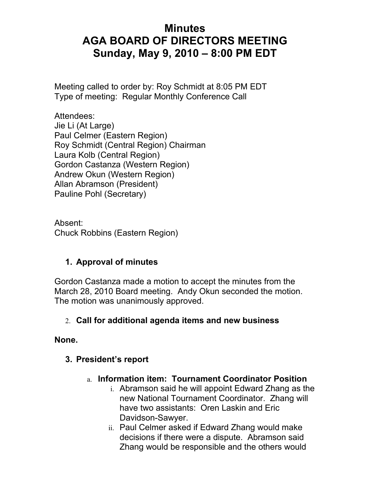# **Minutes AGA BOARD OF DIRECTORS MEETING Sunday, May 9, 2010 – 8:00 PM EDT**

Meeting called to order by: Roy Schmidt at 8:05 PM EDT Type of meeting: Regular Monthly Conference Call

Attendees: Jie Li (At Large) Paul Celmer (Eastern Region) Roy Schmidt (Central Region) Chairman Laura Kolb (Central Region) Gordon Castanza (Western Region) Andrew Okun (Western Region) Allan Abramson (President) Pauline Pohl (Secretary)

Absent: Chuck Robbins (Eastern Region)

#### **1. Approval of minutes**

Gordon Castanza made a motion to accept the minutes from the March 28, 2010 Board meeting. Andy Okun seconded the motion. The motion was unanimously approved.

#### 2. **Call for additional agenda items and new business**

#### **None.**

#### **3. President's report**

- a. **Information item: Tournament Coordinator Position** 
	- i. Abramson said he will appoint Edward Zhang as the new National Tournament Coordinator. Zhang will have two assistants: Oren Laskin and Eric Davidson-Sawyer.
	- ii. Paul Celmer asked if Edward Zhang would make decisions if there were a dispute. Abramson said Zhang would be responsible and the others would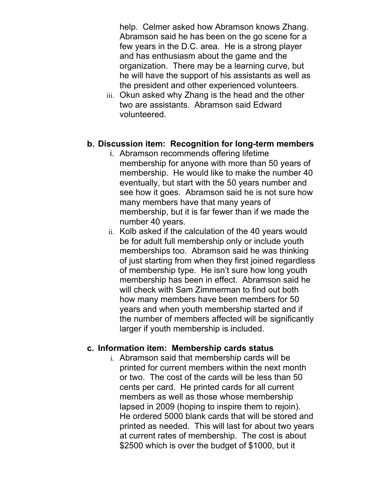help. Celmer asked how Abramson knows Zhang. Abramson said he has been on the go scene for a few years in the D.C. area. He is a strong player and has enthusiasm about the game and the organization. There may be a learning curve, but he will have the support of his assistants as well as the president and other experienced volunteers.

iii. Okun asked why Zhang is the head and the other two are assistants. Abramson said Edward volunteered.

#### **b. Discussion item: Recognition for long-term members**

- i. Abramson recommends offering lifetime membership for anyone with more than 50 years of membership. He would like to make the number 40 eventually, but start with the 50 years number and see how it goes. Abramson said he is not sure how many members have that many years of membership, but it is far fewer than if we made the number 40 years.
- ii. Kolb asked if the calculation of the 40 years would be for adult full membership only or include youth memberships too. Abramson said he was thinking of just starting from when they first joined regardless of membership type. He isn't sure how long youth membership has been in effect. Abramson said he will check with Sam Zimmerman to find out both how many members have been members for 50 years and when youth membership started and if the number of members affected will be significantly larger if youth membership is included.

#### **c. Information item: Membership cards status**

i. Abramson said that membership cards will be printed for current members within the next month or two. The cost of the cards will be less than 50 cents per card. He printed cards for all current members as well as those whose membership lapsed in 2009 (hoping to inspire them to rejoin). He ordered 5000 blank cards that will be stored and printed as needed. This will last for about two years at current rates of membership. The cost is about \$2500 which is over the budget of \$1000, but it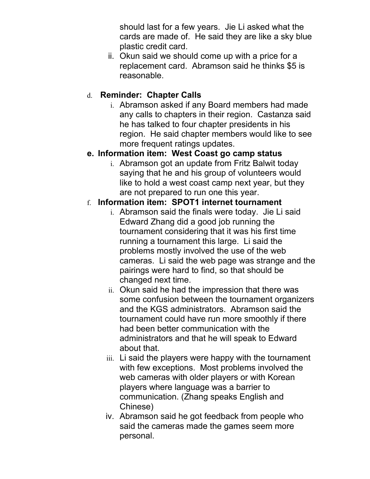should last for a few years. Jie Li asked what the cards are made of. He said they are like a sky blue plastic credit card.

ii. Okun said we should come up with a price for a replacement card. Abramson said he thinks \$5 is reasonable.

### d. **Reminder: Chapter Calls**

i. Abramson asked if any Board members had made any calls to chapters in their region. Castanza said he has talked to four chapter presidents in his region. He said chapter members would like to see more frequent ratings updates.

#### **e. Information item: West Coast go camp status**

i. Abramson got an update from Fritz Balwit today saying that he and his group of volunteers would like to hold a west coast camp next year, but they are not prepared to run one this year.

#### f. **Information item: SPOT1 internet tournament**

- i. Abramson said the finals were today. Jie Li said Edward Zhang did a good job running the tournament considering that it was his first time running a tournament this large. Li said the problems mostly involved the use of the web cameras. Li said the web page was strange and the pairings were hard to find, so that should be changed next time.
- ii. Okun said he had the impression that there was some confusion between the tournament organizers and the KGS administrators. Abramson said the tournament could have run more smoothly if there had been better communication with the administrators and that he will speak to Edward about that.
- iii. Li said the players were happy with the tournament with few exceptions. Most problems involved the web cameras with older players or with Korean players where language was a barrier to communication. (Zhang speaks English and Chinese)
- iv. Abramson said he got feedback from people who said the cameras made the games seem more personal.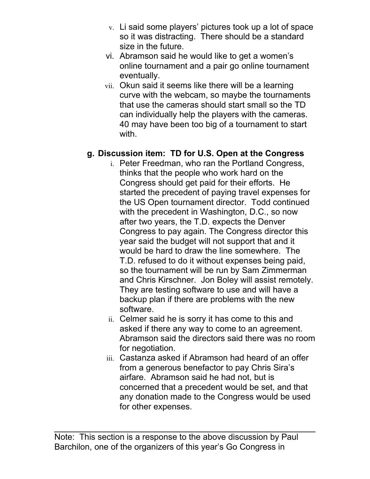- v. Li said some players' pictures took up a lot of space so it was distracting. There should be a standard size in the future.
- vi. Abramson said he would like to get a women's online tournament and a pair go online tournament eventually.
- vii. Okun said it seems like there will be a learning curve with the webcam, so maybe the tournaments that use the cameras should start small so the TD can individually help the players with the cameras. 40 may have been too big of a tournament to start with.

# **g. Discussion item: TD for U.S. Open at the Congress**

- i. Peter Freedman, who ran the Portland Congress, thinks that the people who work hard on the Congress should get paid for their efforts. He started the precedent of paying travel expenses for the US Open tournament director. Todd continued with the precedent in Washington, D.C., so now after two years, the T.D. expects the Denver Congress to pay again. The Congress director this year said the budget will not support that and it would be hard to draw the line somewhere. The T.D. refused to do it without expenses being paid, so the tournament will be run by Sam Zimmerman and Chris Kirschner. Jon Boley will assist remotely. They are testing software to use and will have a backup plan if there are problems with the new software.
- ii. Celmer said he is sorry it has come to this and asked if there any way to come to an agreement. Abramson said the directors said there was no room for negotiation.
- iii. Castanza asked if Abramson had heard of an offer from a generous benefactor to pay Chris Sira's airfare. Abramson said he had not, but is concerned that a precedent would be set, and that any donation made to the Congress would be used for other expenses.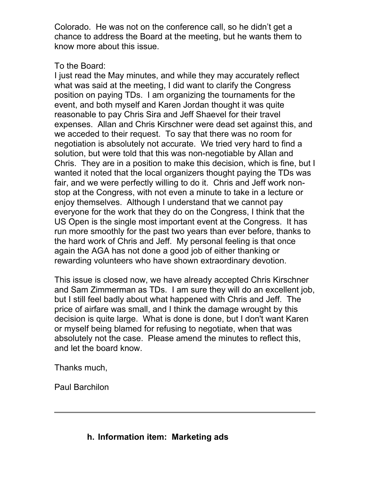Colorado. He was not on the conference call, so he didn't get a chance to address the Board at the meeting, but he wants them to know more about this issue.

#### To the Board:

I just read the May minutes, and while they may accurately reflect what was said at the meeting, I did want to clarify the Congress position on paying TDs. I am organizing the tournaments for the event, and both myself and Karen Jordan thought it was quite reasonable to pay Chris Sira and Jeff Shaevel for their travel expenses. Allan and Chris Kirschner were dead set against this, and we acceded to their request. To say that there was no room for negotiation is absolutely not accurate. We tried very hard to find a solution, but were told that this was non-negotiable by Allan and Chris. They are in a position to make this decision, which is fine, but I wanted it noted that the local organizers thought paying the TDs was fair, and we were perfectly willing to do it. Chris and Jeff work nonstop at the Congress, with not even a minute to take in a lecture or enjoy themselves. Although I understand that we cannot pay everyone for the work that they do on the Congress, I think that the US Open is the single most important event at the Congress. It has run more smoothly for the past two years than ever before, thanks to the hard work of Chris and Jeff. My personal feeling is that once again the AGA has not done a good job of either thanking or rewarding volunteers who have shown extraordinary devotion.

This issue is closed now, we have already accepted Chris Kirschner and Sam Zimmerman as TDs. I am sure they will do an excellent job, but I still feel badly about what happened with Chris and Jeff. The price of airfare was small, and I think the damage wrought by this decision is quite large. What is done is done, but I don't want Karen or myself being blamed for refusing to negotiate, when that was absolutely not the case. Please amend the minutes to reflect this, and let the board know.

Thanks much,

Paul Barchilon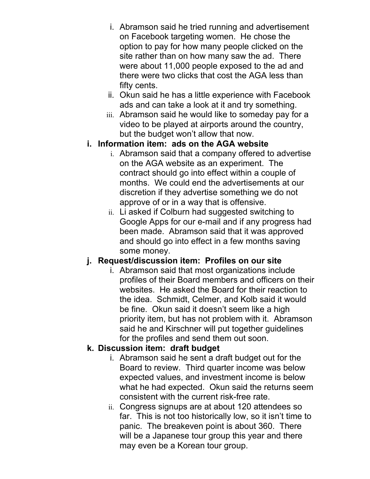- i. Abramson said he tried running and advertisement on Facebook targeting women. He chose the option to pay for how many people clicked on the site rather than on how many saw the ad. There were about 11,000 people exposed to the ad and there were two clicks that cost the AGA less than fifty cents.
- ii. Okun said he has a little experience with Facebook ads and can take a look at it and try something.
- iii. Abramson said he would like to someday pay for a video to be played at airports around the country, but the budget won't allow that now.

#### **i. Information item: ads on the AGA website**

- i. Abramson said that a company offered to advertise on the AGA website as an experiment. The contract should go into effect within a couple of months. We could end the advertisements at our discretion if they advertise something we do not approve of or in a way that is offensive.
- ii. Li asked if Colburn had suggested switching to Google Apps for our e-mail and if any progress had been made. Abramson said that it was approved and should go into effect in a few months saving some money.

# **j. Request/discussion item: Profiles on our site**

i. Abramson said that most organizations include profiles of their Board members and officers on their websites. He asked the Board for their reaction to the idea. Schmidt, Celmer, and Kolb said it would be fine. Okun said it doesn't seem like a high priority item, but has not problem with it. Abramson said he and Kirschner will put together guidelines for the profiles and send them out soon.

# **k. Discussion item: draft budget**

- i. Abramson said he sent a draft budget out for the Board to review. Third quarter income was below expected values, and investment income is below what he had expected. Okun said the returns seem consistent with the current risk-free rate.
- ii. Congress signups are at about 120 attendees so far. This is not too historically low, so it isn't time to panic. The breakeven point is about 360. There will be a Japanese tour group this year and there may even be a Korean tour group.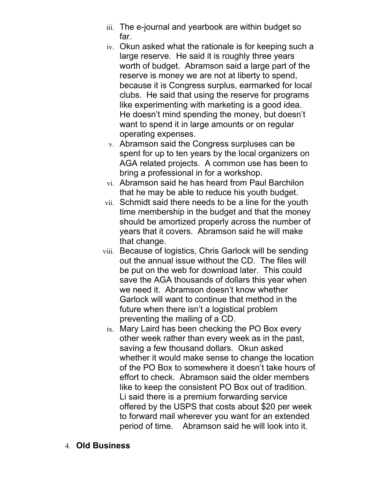- iii. The e-journal and yearbook are within budget so far.
- iv. Okun asked what the rationale is for keeping such a large reserve. He said it is roughly three years worth of budget. Abramson said a large part of the reserve is money we are not at liberty to spend, because it is Congress surplus, earmarked for local clubs. He said that using the reserve for programs like experimenting with marketing is a good idea. He doesn't mind spending the money, but doesn't want to spend it in large amounts or on regular operating expenses.
- v. Abramson said the Congress surpluses can be spent for up to ten years by the local organizers on AGA related projects. A common use has been to bring a professional in for a workshop.
- vi. Abramson said he has heard from Paul Barchilon that he may be able to reduce his youth budget.
- vii. Schmidt said there needs to be a line for the youth time membership in the budget and that the money should be amortized properly across the number of years that it covers. Abramson said he will make that change.
- viii. Because of logistics, Chris Garlock will be sending out the annual issue without the CD. The files will be put on the web for download later. This could save the AGA thousands of dollars this year when we need it. Abramson doesn't know whether Garlock will want to continue that method in the future when there isn't a logistical problem preventing the mailing of a CD.
	- ix. Mary Laird has been checking the PO Box every other week rather than every week as in the past, saving a few thousand dollars. Okun asked whether it would make sense to change the location of the PO Box to somewhere it doesn't take hours of effort to check. Abramson said the older members like to keep the consistent PO Box out of tradition. Li said there is a premium forwarding service offered by the USPS that costs about \$20 per week to forward mail wherever you want for an extended period of time. Abramson said he will look into it.
- 4. **Old Business**